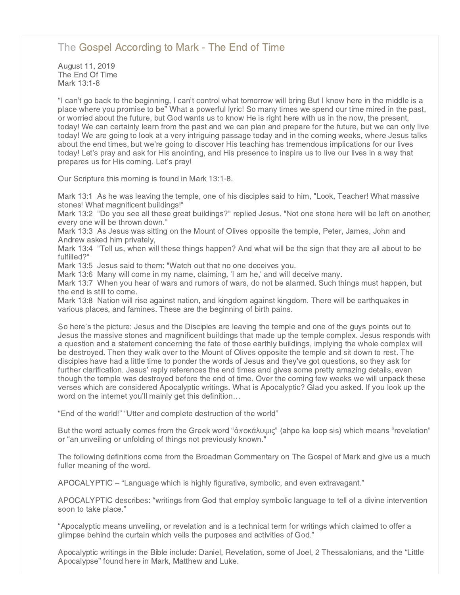# [The Gospel According to Mark - The End of Time](http://northshorechurch.net/resources/sermons/sermon-notes/461-the-gospel-according-to-mark-the-end-of-time)

August 11, 2019 The End Of Time Mark 13:1-8

"I can't go back to the beginning, I can't control what tomorrow will bring But I know here in the middle is a place where you promise to be" What a powerful lyric! So many times we spend our time mired in the past, or worried about the future, but God wants us to know He is right here with us in the now, the present, today! We can certainly learn from the past and we can plan and prepare for the future, but we can only live today! We are going to look at a very intriguing passage today and in the coming weeks, where Jesus talks about the end times, but we're going to discover His teaching has tremendous implications for our lives today! Let's pray and ask for His anointing, and His presence to inspire us to live our lives in a way that prepares us for His coming. Let's pray!

Our Scripture this morning is found in Mark 13:1-8.

Mark 13:1 As he was leaving the temple, one of his disciples said to him, "Look, Teacher! What massive stones! What magnificent buildings!"

Mark 13:2 "Do you see all these great buildings?" replied Jesus. "Not one stone here will be left on another; every one will be thrown down."

Mark 13:3 As Jesus was sitting on the Mount of Olives opposite the temple, Peter, James, John and Andrew asked him privately,

Mark 13:4 "Tell us, when will these things happen? And what will be the sign that they are all about to be fulfilled?"

Mark 13:5 Jesus said to them: "Watch out that no one deceives you.

Mark 13:6 Many will come in my name, claiming, 'I am he,' and will deceive many.

Mark 13:7 When you hear of wars and rumors of wars, do not be alarmed. Such things must happen, but the end is still to come.

Mark 13:8 Nation will rise against nation, and kingdom against kingdom. There will be earthquakes in various places, and famines. These are the beginning of birth pains.

So here's the picture: Jesus and the Disciples are leaving the temple and one of the guys points out to Jesus the massive stones and magnificent buildings that made up the temple complex. Jesus responds with a question and a statement concerning the fate of those earthly buildings, implying the whole complex will be destroyed. Then they walk over to the Mount of Olives opposite the temple and sit down to rest. The disciples have had a little time to ponder the words of Jesus and they've got questions, so they ask for further clarification. Jesus' reply references the end times and gives some pretty amazing details, even though the temple was destroyed before the end of time. Over the coming few weeks we will unpack these verses which are considered Apocalyptic writings. What is Apocalyptic? Glad you asked. If you look up the word on the internet you'll mainly get this definition…

"End of the world!" "Utter and complete destruction of the world"

But the word actually comes from the Greek word "άποκάλυψις" (ahpo ka loop sis) which means "revelation" or "an unveiling or unfolding of things not previously known."

The following definitions come from the Broadman Commentary on The Gospel of Mark and give us a much fuller meaning of the word.

APOCALYPTIC – "Language which is highly figurative, symbolic, and even extravagant."

APOCALYPTIC describes: "writings from God that employ symbolic language to tell of a divine intervention soon to take place."

"Apocalyptic means unveiling, or revelation and is a technical term for writings which claimed to offer a glimpse behind the curtain which veils the purposes and activities of God."

Apocalyptic writings in the Bible include: Daniel, Revelation, some of Joel, 2 Thessalonians, and the "Little Apocalypse" found here in Mark, Matthew and Luke.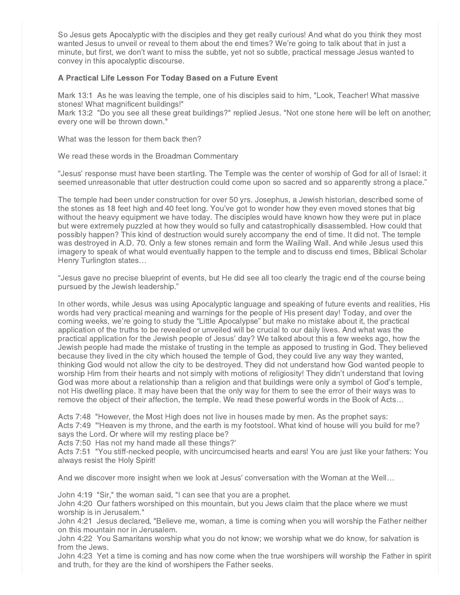So Jesus gets Apocalyptic with the disciples and they get really curious! And what do you think they most wanted Jesus to unveil or reveal to them about the end times? We're going to talk about that in just a minute, but first, we don't want to miss the subtle, yet not so subtle, practical message Jesus wanted to convey in this apocalyptic discourse.

## A Practical Life Lesson For Today Based on a Future Event

Mark 13:1 As he was leaving the temple, one of his disciples said to him, "Look, Teacher! What massive stones! What magnificent buildings!"

Mark 13:2 "Do you see all these great buildings?" replied Jesus. "Not one stone here will be left on another; every one will be thrown down."

What was the lesson for them back then?

We read these words in the Broadman Commentary

"Jesus' response must have been startling. The Temple was the center of worship of God for all of Israel: it seemed unreasonable that utter destruction could come upon so sacred and so apparently strong a place."

The temple had been under construction for over 50 yrs. Josephus, a Jewish historian, described some of the stones as 18 feet high and 40 feet long. You've got to wonder how they even moved stones that big without the heavy equipment we have today. The disciples would have known how they were put in place but were extremely puzzled at how they would so fully and catastrophically disassembled. How could that possibly happen? This kind of destruction would surely accompany the end of time. It did not. The temple was destroyed in A.D. 70. Only a few stones remain and form the Wailing Wall. And while Jesus used this imagery to speak of what would eventually happen to the temple and to discuss end times, Biblical Scholar Henry Turlington states…

"Jesus gave no precise blueprint of events, but He did see all too clearly the tragic end of the course being pursued by the Jewish leadership."

In other words, while Jesus was using Apocalyptic language and speaking of future events and realities, His words had very practical meaning and warnings for the people of His present day! Today, and over the coming weeks, we're going to study the "Little Apocalypse" but make no mistake about it, the practical application of the truths to be revealed or unveiled will be crucial to our daily lives. And what was the practical application for the Jewish people of Jesus' day? We talked about this a few weeks ago, how the Jewish people had made the mistake of trusting in the temple as apposed to trusting in God. They believed because they lived in the city which housed the temple of God, they could live any way they wanted, thinking God would not allow the city to be destroyed. They did not understand how God wanted people to worship Him from their hearts and not simply with motions of religiosity! They didn't understand that loving God was more about a relationship than a religion and that buildings were only a symbol of God's temple, not His dwelling place. It may have been that the only way for them to see the error of their ways was to remove the object of their affection, the temple. We read these powerful words in the Book of Acts…

Acts 7:48 "However, the Most High does not live in houses made by men. As the prophet says: Acts 7:49 "'Heaven is my throne, and the earth is my footstool. What kind of house will you build for me? says the Lord. Or where will my resting place be?

Acts 7:50 Has not my hand made all these things?'

Acts 7:51 "You stiff-necked people, with uncircumcised hearts and ears! You are just like your fathers: You always resist the Holy Spirit!

And we discover more insight when we look at Jesus' conversation with the Woman at the Well…

John 4:19 "Sir," the woman said, "I can see that you are a prophet.

John 4:20 Our fathers worshiped on this mountain, but you Jews claim that the place where we must worship is in Jerusalem."

John 4:21 Jesus declared, "Believe me, woman, a time is coming when you will worship the Father neither on this mountain nor in Jerusalem.

John 4:22 You Samaritans worship what you do not know; we worship what we do know, for salvation is from the Jews.

John 4:23 Yet a time is coming and has now come when the true worshipers will worship the Father in spirit and truth, for they are the kind of worshipers the Father seeks.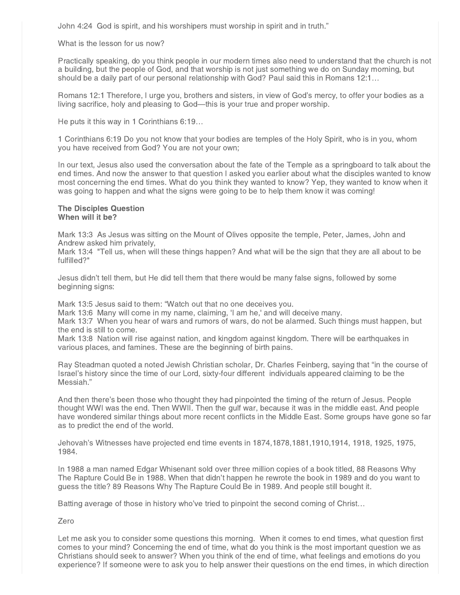John 4:24 God is spirit, and his worshipers must worship in spirit and in truth."

#### What is the lesson for us now?

Practically speaking, do you think people in our modern times also need to understand that the church is not a building, but the people of God, and that worship is not just something we do on Sunday morning, but should be a daily part of our personal relationship with God? Paul said this in Romans 12:1…

Romans 12:1 Therefore, I urge you, brothers and sisters, in view of God's mercy, to offer your bodies as a living sacrifice, holy and pleasing to God—this is your true and proper worship.

He puts it this way in 1 Corinthians 6:19…

1 Corinthians 6:19 Do you not know that your bodies are temples of the Holy Spirit, who is in you, whom you have received from God? You are not your own;

In our text, Jesus also used the conversation about the fate of the Temple as a springboard to talk about the end times. And now the answer to that question I asked you earlier about what the disciples wanted to know most concerning the end times. What do you think they wanted to know? Yep, they wanted to know when it was going to happen and what the signs were going to be to help them know it was coming!

#### The Disciples Question When will it be?

Mark 13:3 As Jesus was sitting on the Mount of Olives opposite the temple, Peter, James, John and Andrew asked him privately,

Mark 13:4 "Tell us, when will these things happen? And what will be the sign that they are all about to be fulfilled?"

Jesus didn't tell them, but He did tell them that there would be many false signs, followed by some beginning signs:

Mark 13:5 Jesus said to them: "Watch out that no one deceives you.

Mark 13:6 Many will come in my name, claiming, 'I am he,' and will deceive many.

Mark 13:7 When you hear of wars and rumors of wars, do not be alarmed. Such things must happen, but the end is still to come.

Mark 13:8 Nation will rise against nation, and kingdom against kingdom. There will be earthquakes in various places, and famines. These are the beginning of birth pains.

Ray Steadman quoted a noted Jewish Christian scholar, Dr. Charles Feinberg, saying that "in the course of Israel's history since the time of our Lord, sixty-four different individuals appeared claiming to be the Messiah."

And then there's been those who thought they had pinpointed the timing of the return of Jesus. People thought WWI was the end. Then WWII. Then the gulf war, because it was in the middle east. And people have wondered similar things about more recent conflicts in the Middle East. Some groups have gone so far as to predict the end of the world.

Jehovah's Witnesses have projected end time events in 1874,1878,1881,1910,1914, 1918, 1925, 1975, 1984.

In 1988 a man named Edgar Whisenant sold over three million copies of a book titled, 88 Reasons Why The Rapture Could Be in 1988. When that didn't happen he rewrote the book in 1989 and do you want to guess the title? 89 Reasons Why The Rapture Could Be in 1989. And people still bought it.

Batting average of those in history who've tried to pinpoint the second coming of Christ…

### Zero

Let me ask you to consider some questions this morning. When it comes to end times, what question first comes to your mind? Concerning the end of time, what do you think is the most important question we as Christians should seek to answer? When you think of the end of time, what feelings and emotions do you experience? If someone were to ask you to help answer their questions on the end times, in which direction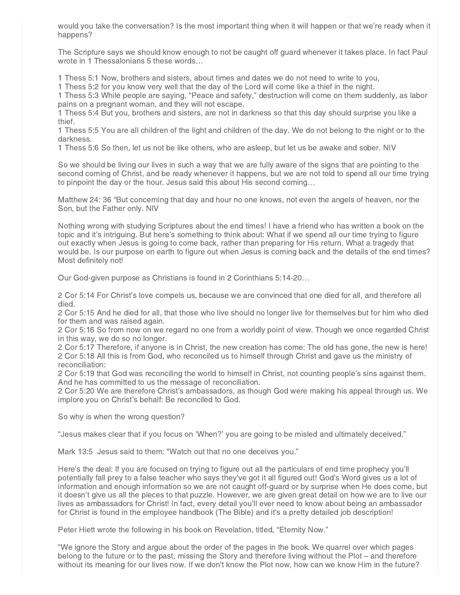would you take the conversation? Is the most important thing when it will happen or that we're ready when it happens?

The Scripture says we should know enough to not be caught off guard whenever it takes place. In fact Paul wrote in 1 Thessalonians 5 these words…

1 Thess 5:1 Now, brothers and sisters, about times and dates we do not need to write to you,

1 Thess 5:2 for you know very well that the day of the Lord will come like a thief in the night.

1 Thess 5:3 While people are saying, "Peace and safety," destruction will come on them suddenly, as labor pains on a pregnant woman, and they will not escape.

1 Thess 5:4 But you, brothers and sisters, are not in darkness so that this day should surprise you like a thief.

1 Thess 5:5 You are all children of the light and children of the day. We do not belong to the night or to the darkness.

1 Thess 5:6 So then, let us not be like others, who are asleep, but let us be awake and sober. NIV

So we should be living our lives in such a way that we are fully aware of the signs that are pointing to the second coming of Christ, and be ready whenever it happens, but we are not told to spend all our time trying to pinpoint the day or the hour. Jesus said this about His second coming…

Matthew 24: 36 "But concerning that day and hour no one knows, not even the angels of heaven, nor the Son, but the Father only. NIV

Nothing wrong with studying Scriptures about the end times! I have a friend who has written a book on the topic and it's intriguing. But here's something to think about: What if we spend all our time trying to figure out exactly when Jesus is going to come back, rather than preparing for His return. What a tragedy that would be. Is our purpose on earth to figure out when Jesus is coming back and the details of the end times? Most definitely not!

Our God-given purpose as Christians is found in 2 Corinthians 5:14-20…

2 Cor 5:14 For Christ's love compels us, because we are convinced that one died for all, and therefore all died.

2 Cor 5:15 And he died for all, that those who live should no longer live for themselves but for him who died for them and was raised again.

2 Cor 5:16 So from now on we regard no one from a worldly point of view. Though we once regarded Christ in this way, we do so no longer.

2 Cor 5:17 Therefore, if anyone is in Christ, the new creation has come: The old has gone, the new is here! 2 Cor 5:18 All this is from God, who reconciled us to himself through Christ and gave us the ministry of reconciliation:

2 Cor 5:19 that God was reconciling the world to himself in Christ, not counting people's sins against them. And he has committed to us the message of reconciliation.

2 Cor 5:20 We are therefore Christ's ambassadors, as though God were making his appeal through us. We implore you on Christ's behalf: Be reconciled to God.

So why is when the wrong question?

"Jesus makes clear that if you focus on 'When?' you are going to be misled and ultimately deceived."

Mark 13:5 Jesus said to them: "Watch out that no one deceives you."

Here's the deal: If you are focused on trying to figure out all the particulars of end time prophecy you'll potentially fall prey to a false teacher who says they've got it all figured out! God's Word gives us a lot of information and enough information so we are not caught off-guard or by surprise when He does come, but it doesn't give us all the pieces to that puzzle. However, we are given great detail on how we are to live our lives as ambassadors for Christ! In fact, every detail you'll ever need to know about being an ambassador for Christ is found in the employee handbook (The Bible) and it's a pretty detailed job description!

Peter Hiett wrote the following in his book on Revelation, titled, "Eternity Now."

"We ignore the Story and argue about the order of the pages in the book. We quarrel over which pages belong to the future or to the past, missing the Story and therefore living without the Plot – and therefore without its meaning for our lives now. If we don't know the Plot now, how can we know Him in the future?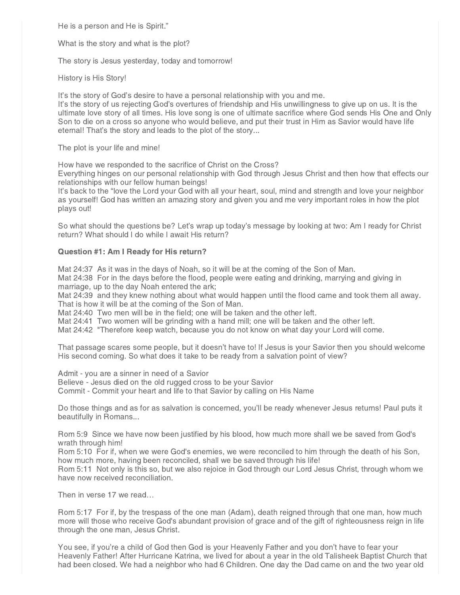He is a person and He is Spirit."

What is the story and what is the plot?

The story is Jesus yesterday, today and tomorrow!

History is His Story!

It's the story of God's desire to have a personal relationship with you and me.

It's the story of us rejecting God's overtures of friendship and His unwillingness to give up on us. It is the ultimate love story of all times. His love song is one of ultimate sacrifice where God sends His One and Only Son to die on a cross so anyone who would believe, and put their trust in Him as Savior would have life eternal! That's the story and leads to the plot of the story...

The plot is your life and mine!

How have we responded to the sacrifice of Christ on the Cross?

Everything hinges on our personal relationship with God through Jesus Christ and then how that effects our relationships with our fellow human beings!

It's back to the "love the Lord your God with all your heart, soul, mind and strength and love your neighbor as yourself! God has written an amazing story and given you and me very important roles in how the plot plays out!

So what should the questions be? Let's wrap up today's message by looking at two: Am I ready for Christ return? What should I do while I await His return?

## Question #1: Am I Ready for His return?

Mat 24:37 As it was in the days of Noah, so it will be at the coming of the Son of Man.

Mat 24:38 For in the days before the flood, people were eating and drinking, marrying and giving in marriage, up to the day Noah entered the ark;

Mat 24:39 and they knew nothing about what would happen until the flood came and took them all away. That is how it will be at the coming of the Son of Man.

Mat 24:40 Two men will be in the field; one will be taken and the other left.

Mat 24:41 Two women will be grinding with a hand mill; one will be taken and the other left.

Mat 24:42 "Therefore keep watch, because you do not know on what day your Lord will come.

That passage scares some people, but it doesn't have to! If Jesus is your Savior then you should welcome His second coming. So what does it take to be ready from a salvation point of view?

Admit - you are a sinner in need of a Savior

Believe - Jesus died on the old rugged cross to be your Savior

Commit - Commit your heart and life to that Savior by calling on His Name

Do those things and as for as salvation is concerned, you'll be ready whenever Jesus returns! Paul puts it beautifully in Romans...

Rom 5:9 Since we have now been justified by his blood, how much more shall we be saved from God's wrath through him!

Rom 5:10 For if, when we were God's enemies, we were reconciled to him through the death of his Son, how much more, having been reconciled, shall we be saved through his life!

Rom 5:11 Not only is this so, but we also rejoice in God through our Lord Jesus Christ, through whom we have now received reconciliation.

Then in verse 17 we read…

Rom 5:17 For if, by the trespass of the one man (Adam), death reigned through that one man, how much more will those who receive God's abundant provision of grace and of the gift of righteousness reign in life through the one man, Jesus Christ.

You see, if you're a child of God then God is your Heavenly Father and you don't have to fear your Heavenly Father! After Hurricane Katrina, we lived for about a year in the old Talisheek Baptist Church that had been closed. We had a neighbor who had 6 Children. One day the Dad came on and the two year old